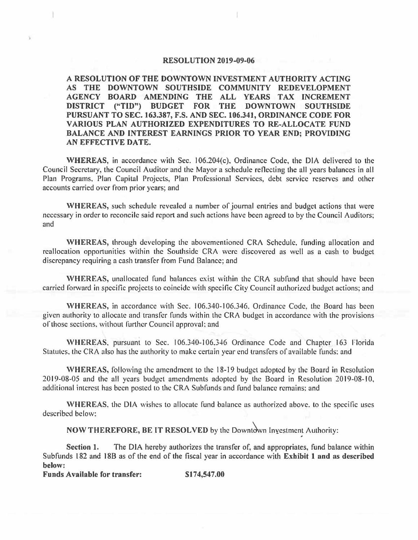## **RESOLUTION 2019-09-06**

**A RESOLUTION OF THE DOWNTOWN INVESTMENT AUTHORITY ACTING AS THE DOWNTOWN SOUTHSIDE COMMUNITY REDEVELOPMENT AGENCY BOARD AMENDING THE ALL YEARS TAX INCREMENT DISTRICT ("TID") BUDGET FOR THE DOWNTOWN SOUTHSIDE PURSUANT TO SEC. 163.387, F.S. AND SEC. 106.341, ORDINANCE CODE FOR VARIO US PLAN AUTHORIZED EXPENDITURES TO RE-ALLOCATE FUND BALANCE AND INTEREST EARNINGS PRIOR TO YEAR END; PROVIDING AN EFFECTIVE DATE.** 

**WHEREAS,** in accordance with Sec. 106.204(c). Ordinance Code, the DIA delivered to the Council Secretary, the Council Auditor and the Mayor a schedule reflecting the all years balances in all Plan Programs. Plan Capital Projects, Plan Professional Services, debt service reserves and other accounts carried over from prior years; and

**WHEREAS,** such schedule revealed a number of journal entries and budget actions that were necessary in order to reconcile said report and such actions have been agreed to by the Council Auditors; and

**WHEREAS,** through developing the abovementioned CRA Schedule. funding allocation and reallocation opportunities within the Southside CRA were discovered as well as a cash to budget discrepancy requiring a cash transfer from Fund Balance; and

**WHEREAS,** unallocated fund balances exist within the CRA subfund that should have been carried forward in specific projects to coincide with specific City Council authorized budget actions; and

**WHEREAS,** in accordance with Sec. I 06.340-106.346. Ordinance Code, the Board has been given authority to allocate and transfer funds within the CRA budget in accordance with the provisions of those sections. without further Council approval: and

**WHEREAS,** pursuant to Sec. I 06.340-106,3-l6 Ordinance Code and Chapter 163 Florida Statutes. the CRA also has the authority to make certain year end transfers of available funds: and

**WHEREAS,** following the amendment lo the 18-19 budget adopted by the Board in Resolution 2019-08-05 and the all years budget amendments adopted by the Board in Resolution 2019-08-10, additional interest has been posted to the CRA Subfunds and fund balance remains: and

**WHEREAS,** the DIA wishes to allocate fund balance as authorized above. to the specific uses described below:

**NOW THEREFORE, BE IT RESOLVED** by the Downtown Investment Authority:

**Section 1.** The DIA hereby authorizes the transfer of, and appropriates, fund balance within Subfunds 182 and 188 as of the end of the fiscal year in accordance with **Exhibit** I **and as described below:** 

**Funds Available for transfer: \$174,547.00**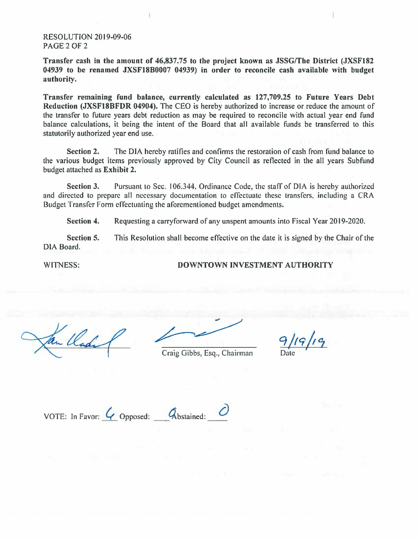## RESOLUTION 2019-09-06 PAGE2OF2

**Transfer cash in the amount of 46,837.75 to the project known as JSSG/The District (JXSF182 04939 to be renamed JXSF18B0007 04939) in order to reconcile cash available with budget**  authority.

**Transfer remaining fund balance, currently calculated as 127,709.25 to Future Years Debt Reduction (JXSF18BFDR 04904).** The CEO is hereby authorized to increase or reduce the amount of the transfer to future years debt reduction as may be required to reconcile with actual year end fund balance calculations, it being the intent of the Board that all available funds be transferred to this statutorily authorized year end use.

**Section 2.** The DIA hereby ratifies and confirms the restoration of cash from fund balance to the various budget items previously approved by City Council as reflected in the all years Subfund budget attached as **Exhibit 2.** 

**Section 3.** Pursuant to Sec. 106.344, Ordinance Code, the staff of DIA is hereby authorized and directed to prepare all necessary documentation to effectuate these transfers, including a CRA Budget Transfer Form effectuating the aforementioned budget amendments.

**Section 4.**  Requesting a carryforward of any unspent amounts into Fiscal Year 2019-2020.

**Section** 5. DIA Board. This Resolution shall become effective on the date it is signed by the Chair of the

WITNESS:

**DOWNTOWN INVESTMENT AUTHORITY** 

En llade

Craig Gibbs, Esq., Chairman

*q* /*19* /*19* 

VOTE: In Favor:  $\overline{Q}$  Opposed:  $\overline{Q}$  bstained:  $\overline{Q}$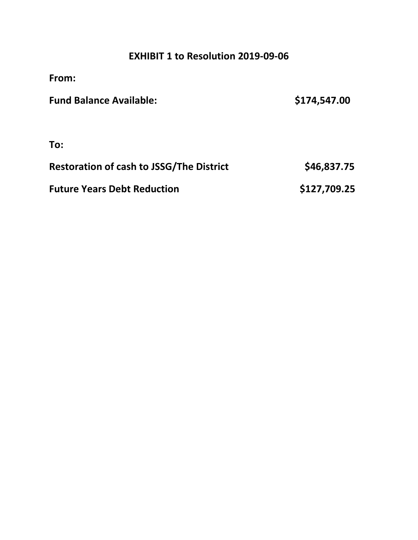## **EXHIBIT 1 to Resolution 2019-09-06**

| From:                                           |              |
|-------------------------------------------------|--------------|
| <b>Fund Balance Available:</b>                  | \$174,547.00 |
| To:                                             |              |
| <b>Restoration of cash to JSSG/The District</b> | \$46,837.75  |
| <b>Future Years Debt Reduction</b>              | \$127,709.25 |